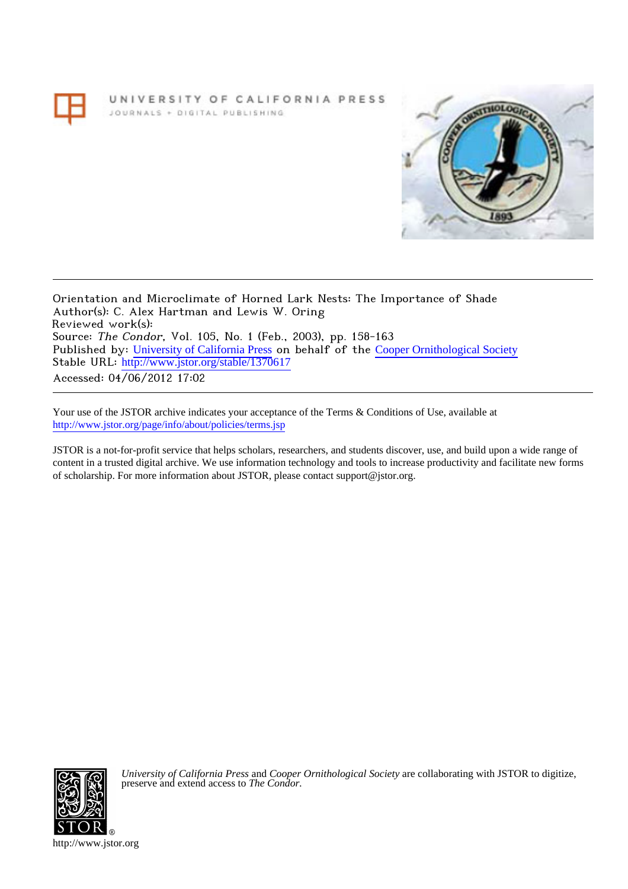UNIVERSITY OF CALIFORNIA PRESS JOURNALS + DIGITAL PUBLISHING



Orientation and Microclimate of Horned Lark Nests: The Importance of Shade Author(s): C. Alex Hartman and Lewis W. Oring Reviewed work(s): Source: The Condor, Vol. 105, No. 1 (Feb., 2003), pp. 158-163 Published by: [University of California Press](http://www.jstor.org/action/showPublisher?publisherCode=ucal) on behalf of the [Cooper Ornithological Society](http://www.jstor.org/action/showPublisher?publisherCode=cooper) Stable URL: [http://www.jstor.org/stable/1370617](http://www.jstor.org/stable/1370617?origin=JSTOR-pdf) Accessed: 04/06/2012 17:02

Your use of the JSTOR archive indicates your acceptance of the Terms & Conditions of Use, available at <http://www.jstor.org/page/info/about/policies/terms.jsp>

JSTOR is a not-for-profit service that helps scholars, researchers, and students discover, use, and build upon a wide range of content in a trusted digital archive. We use information technology and tools to increase productivity and facilitate new forms of scholarship. For more information about JSTOR, please contact support@jstor.org.



*University of California Press* and *Cooper Ornithological Society* are collaborating with JSTOR to digitize, preserve and extend access to *The Condor.*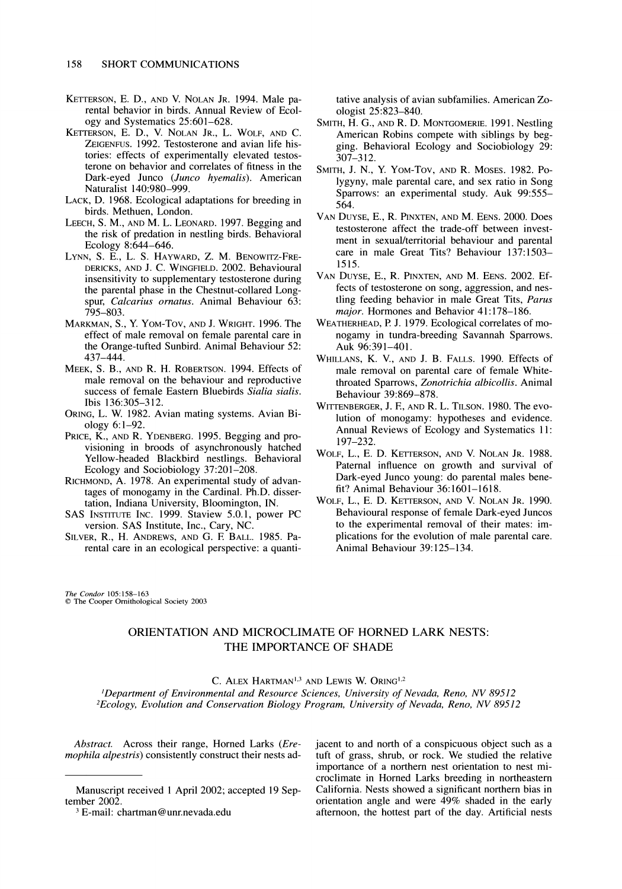- **KETTERSON, E. D., AND V. NOLAN JR. 1994. Male parental behavior in birds. Annual Review of Ecology and Systematics 25:601-628.**
- **KETTERSON, E. D., V. NOLAN JR., L. WOLF, AND C. ZEIGENFUS. 1992. Testosterone and avian life histories: effects of experimentally elevated testosterone on behavior and correlates of fitness in the Dark-eyed Junco (Junco hyemalis). American Naturalist 140:980-999.**
- **LACK, D. 1968. Ecological adaptations for breeding in birds. Methuen, London.**
- **LEECH, S. M., AND M. L. LEONARD. 1997. Begging and the risk of predation in nestling birds. Behavioral Ecology 8:644-646.**
- **LYNN, S. E., L. S. HAYWARD, Z. M. BENOWITZ-FRE-DERICKS, AND J. C. WINGFIELD. 2002. Behavioural insensitivity to supplementary testosterone during the parental phase in the Chestnut-collared Longspur, Calcarius ornatus. Animal Behaviour 63: 795-803.**
- **MARKMAN, S., Y. YoM-Tov, AND J. WRIGHT. 1996. The effect of male removal on female parental care in the Orange-tufted Sunbird. Animal Behaviour 52: 437-444.**
- **MEEK, S. B., AND R. H. ROBERTSON. 1994. Effects of male removal on the behaviour and reproductive success of female Eastern Bluebirds Sialia sialis. Ibis 136:305-312.**
- **ORING, L. W. 1982. Avian mating systems. Avian Biology 6:1-92.**
- PRICE, K., AND R. YDENBERG. 1995. Begging and pro**visioning in broods of asynchronously hatched Yellow-headed Blackbird nestlings. Behavioral Ecology and Sociobiology 37:201-208.**
- **RICHMOND, A. 1978. An experimental study of advantages of monogamy in the Cardinal. Ph.D. dissertation, Indiana University, Bloomington, IN.**
- **SAS INSTITUTE INC. 1999. Staview 5.0.1, power PC version. SAS Institute, Inc., Cary, NC.**
- **SILVER, R., H. ANDREWS, AND G. E BALL. 1985. Parental care in an ecological perspective: a quanti-**

**tative analysis of avian subfamilies. American Zoologist 25:823-840.** 

- **SMITH, H. G., AND R. D. MONTGOMERIE. 1991. Nestling American Robins compete with siblings by begging. Behavioral Ecology and Sociobiology 29: 307-312.**
- **SMITH, J. N., Y. YoM-Tov, AND R. MOSES. 1982. Polygyny, male parental care, and sex ratio in Song Sparrows: an experimental study. Auk 99:555- 564.**
- **VAN DUYSE, E., R. PINXTEN, AND M. EENS. 2000. Does testosterone affect the trade-off between investment in sexual/territorial behaviour and parental care in male Great Tits? Behaviour 137:1503- 1515.**
- **VAN DUYSE, E., R. PINXTEN, AND M. EENS. 2002. Effects of testosterone on song, aggression, and nestling feeding behavior in male Great Tits, Parus major. Hormones and Behavior 41:178-186.**
- **WEATHERHEAD, P. J. 1979. Ecological correlates of monogamy in tundra-breeding Savannah Sparrows. Auk 96:391-401.**
- **WHILLANS, K. V., AND J. B. FALLS. 1990. Effects of male removal on parental care of female Whitethroated Sparrows, Zonotrichia albicollis. Animal Behaviour 39:869-878.**
- **WITTENBERGER, J. E, AND R. L. TILSON. 1980. The evolution of monogamy: hypotheses and evidence. Annual Reviews of Ecology and Systematics 11: 197-232.**
- **WOLF, L., E. D. KETTERSON, AND V. NOLAN JR. 1988. Paternal influence on growth and survival of Dark-eyed Junco young: do parental males benefit? Animal Behaviour 36:1601-1618.**
- **WOLF, L., E. D. KETTERSON, AND V. NOLAN JR. 1990. Behavioural response of female Dark-eyed Juncos to the experimental removal of their mates: implications for the evolution of male parental care. Animal Behaviour 39:125-134.**

**The Condor 105:158-163 C The Cooper Ornithological Society 2003** 

# **ORIENTATION AND MICROCLIMATE OF HORNED LARK NESTS: THE IMPORTANCE OF SHADE**

**C. ALEX HARTMAN"'3 AND LEWIS W. ORING1'2** 

**'Department of Environmental and Resource Sciences, University of Nevada, Reno, NV 89512 2Ecology, Evolution and Conservation Biology Program, University of Nevada, Reno, NV 89512** 

**Abstract. Across their range, Horned Larks (Eremophila alpestris) consistently construct their nests ad-** **jacent to and north of a conspicuous object such as a tuft of grass, shrub, or rock. We studied the relative importance of a northern nest orientation to nest microclimate in Horned Larks breeding in northeastern California. Nests showed a significant northern bias in orientation angle and were 49% shaded in the early afternoon, the hottest part of the day. Artificial nests** 

**Manuscript received 1 April 2002; accepted 19 September 2002.** 

**<sup>3</sup> E-mail: chartman@unr.nevada.edu**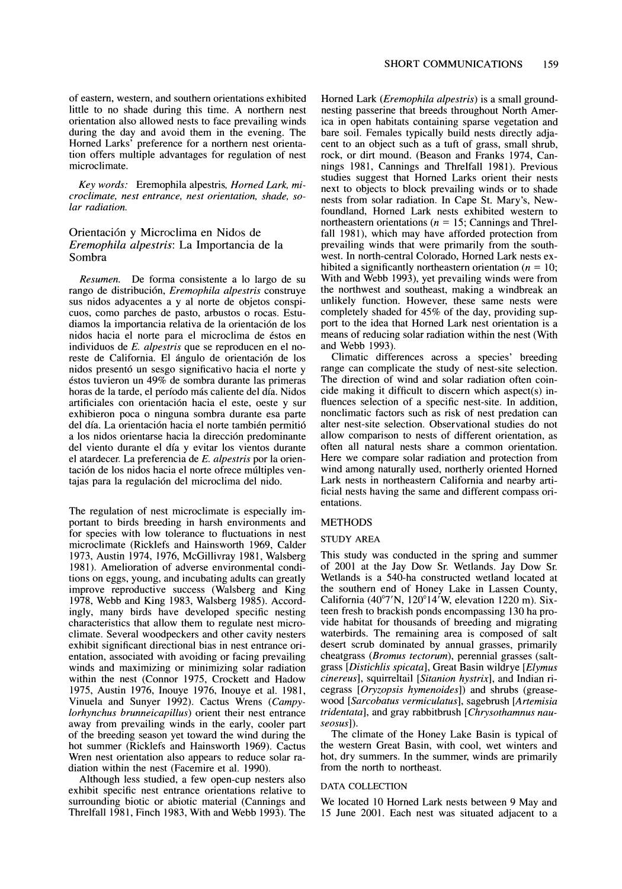**of eastern, western, and southern orientations exhibited little to no shade during this time. A northern nest orientation also allowed nests to face prevailing winds during the day and avoid them in the evening. The Horned Larks' preference for a northern nest orientation offers multiple advantages for regulation of nest microclimate.** 

**Key words: Eremophila alpestris, Horned Lark, microclimate, nest entrance, nest orientation, shade, solar radiation.** 

# **Orientaci6n y Microclima en Nidos de Eremophila alpestris: La Importancia de la Sombra**

**Resumen. De forma consistente a lo largo de su rango de distribuci6n, Eremophila alpestris construye sus nidos adyacentes a y al norte de objetos conspicuos, como parches de pasto, arbustos o rocas. Estudiamos la importancia relativa de la orientaci6n de los nidos hacia el norte para el microclima de 6stos en individuos de E. alpestris que se reproducen en el no**reste de California. El ángulo de orientación de los **nidos present6 un sesgo significativo hacia el norte y 6stos tuvieron un 49% de sombra durante las primeras**  horas de la tarde, el período más caliente del día. Nidos **artificiales con orientaci6n hacia el este, oeste y sur exhibieron poca o ninguna sombra durante esa parte del dia. La orientaci6n hacia el norte tambi6n permiti6 a los nidos orientarse hacia la direcci6n predominante del viento durante el dia y evitar los vientos durante el atardecer. La preferencia de E. alpestris por la orientaci6n de los nidos hacia el norte ofrece miltiples ventajas para la regulaci6n del microclima del nido.** 

**The regulation of nest microclimate is especially important to birds breeding in harsh environments and for species with low tolerance to fluctuations in nest microclimate (Ricklefs and Hainsworth 1969, Calder 1973, Austin 1974, 1976, McGillivray 1981, Walsberg 1981). Amelioration of adverse environmental conditions on eggs, young, and incubating adults can greatly improve reproductive success (Walsberg and King 1978, Webb and King 1983, Walsberg 1985). Accordingly, many birds have developed specific nesting characteristics that allow them to regulate nest microclimate. Several woodpeckers and other cavity nesters exhibit significant directional bias in nest entrance orientation, associated with avoiding or facing prevailing winds and maximizing or minimizing solar radiation within the nest (Connor 1975, Crockett and Hadow 1975, Austin 1976, Inouye 1976, Inouye et al. 1981, Vinuela and Sunyer 1992). Cactus Wrens (Campylorhynchus brunneicapillus) orient their nest entrance away from prevailing winds in the early, cooler part of the breeding season yet toward the wind during the hot summer (Ricklefs and Hainsworth 1969). Cactus Wren nest orientation also appears to reduce solar radiation within the nest (Facemire et al. 1990).** 

**Although less studied, a few open-cup nesters also exhibit specific nest entrance orientations relative to surrounding biotic or abiotic material (Cannings and Threlfall 1981, Finch 1983, With and Webb 1993). The** 

**Horned Lark (Eremophila alpestris) is a small groundnesting passerine that breeds throughout North America in open habitats containing sparse vegetation and bare soil. Females typically build nests directly adjacent to an object such as a tuft of grass, small shrub, rock, or dirt mound. (Beason and Franks 1974, Cannings 1981, Cannings and Threlfall 1981). Previous studies suggest that Homed Larks orient their nests next to objects to block prevailing winds or to shade nests from solar radiation. In Cape St. Mary's, Newfoundland, Horned Lark nests exhibited western to northeastern orientations (n = 15; Cannings and Threlfall 1981), which may have afforded protection from prevailing winds that were primarily from the southwest. In north-central Colorado, Horned Lark nests ex**hibited a significantly northeastern orientation  $(n = 10)$ ; **With and Webb 1993), yet prevailing winds were from the northwest and southeast, making a windbreak an unlikely function. However, these same nests were completely shaded for 45% of the day, providing support to the idea that Horned Lark nest orientation is a means of reducing solar radiation within the nest (With and Webb 1993).** 

**Climatic differences across a species' breeding range can complicate the study of nest-site selection. The direction of wind and solar radiation often coincide making it difficult to discern which aspect(s) influences selection of a specific nest-site. In addition, nonclimatic factors such as risk of nest predation can alter nest-site selection. Observational studies do not allow comparison to nests of different orientation, as often all natural nests share a common orientation. Here we compare solar radiation and protection from wind among naturally used, northerly oriented Horned Lark nests in northeastern California and nearby artificial nests having the same and different compass orientations.** 

## **METHODS**

### **STUDY AREA**

**This study was conducted in the spring and summer of 2001 at the Jay Dow Sr. Wetlands. Jay Dow Sr. Wetlands is a 540-ha constructed wetland located at the southern end of Honey Lake in Lassen County,**  California (40°7'N, 120°14<sup>'</sup>W, elevation 1220 m). Six**teen fresh to brackish ponds encompassing 130 ha provide habitat for thousands of breeding and migrating waterbirds. The remaining area is composed of salt desert scrub dominated by annual grasses, primarily cheatgrass (Bromus tectorum), perennial grasses (saltgrass [Distichlis spicata], Great Basin wildrye [Elymus cinereus], squirreltail [Sitanion hystrix], and Indian ricegrass [Oryzopsis hymenoides]) and shrubs (greasewood [Sarcobatus vermiculatus], sagebrush [Artemisia tridentata], and gray rabbitbrush [Chrysothamnus nauseosus]).** 

**The climate of the Honey Lake Basin is typical of the western Great Basin, with cool, wet winters and hot, dry summers. In the summer, winds are primarily from the north to northeast.** 

### **DATA COLLECTION**

**We located 10 Horned Lark nests between 9 May and 15 June 2001. Each nest was situated adjacent to a**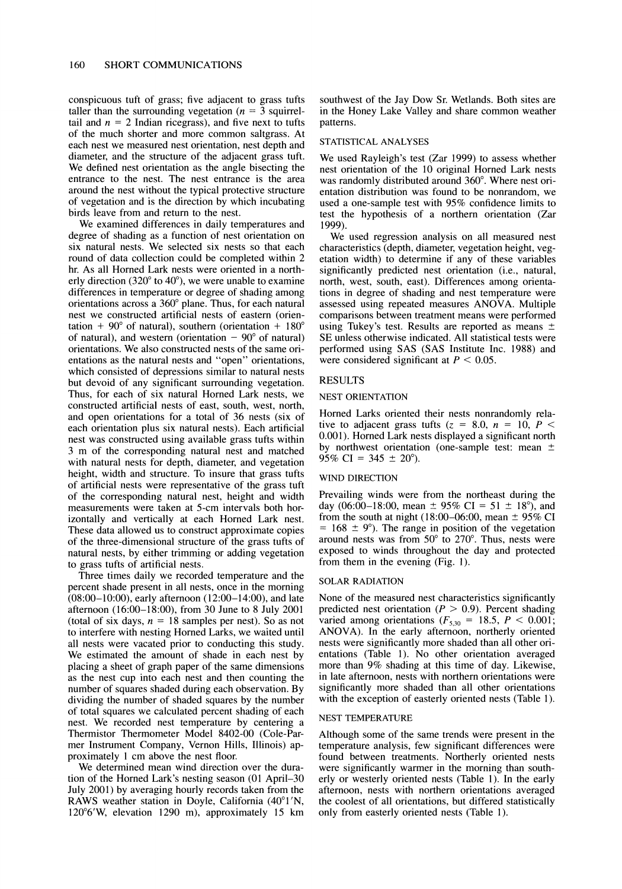**conspicuous tuft of grass; five adjacent to grass tufts**  taller than the surrounding vegetation  $(n = 3$  squirreltail and  $n = 2$  Indian ricegrass), and five next to tufts **of the much shorter and more common saltgrass. At each nest we measured nest orientation, nest depth and diameter, and the structure of the adjacent grass tuft. We defined nest orientation as the angle bisecting the entrance to the nest. The nest entrance is the area around the nest without the typical protective structure of vegetation and is the direction by which incubating birds leave from and return to the nest.** 

**We examined differences in daily temperatures and degree of shading as a function of nest orientation on six natural nests. We selected six nests so that each round of data collection could be completed within 2 hr. As all Horned Lark nests were oriented in a north-** $\frac{1}{2}$  erly direction  $(320^{\circ} \text{ to } 40^{\circ})$ , we were unable to examine **differences in temperature or degree of shading among orientations across a 360° plane. Thus, for each natural nest we constructed artificial nests of eastern (orien** $tation + 90^{\circ}$  of natural), southern (orientation +  $180^{\circ}$ of natural), and western (orientation  $-90^{\circ}$  of natural) **orientations. We also constructed nests of the same orientations as the natural nests and "open" orientations, which consisted of depressions similar to natural nests but devoid of any significant surrounding vegetation. Thus, for each of six natural Horned Lark nests, we constructed artificial nests of east, south, west, north, and open orientations for a total of 36 nests (six of each orientation plus six natural nests). Each artificial nest was constructed using available grass tufts within 3 m of the corresponding natural nest and matched with natural nests for depth, diameter, and vegetation height, width and structure. To insure that grass tufts of artificial nests were representative of the grass tuft of the corresponding natural nest, height and width measurements were taken at 5-cm intervals both horizontally and vertically at each Horned Lark nest. These data allowed us to construct approximate copies of the three-dimensional structure of the grass tufts of natural nests, by either trimming or adding vegetation to grass tufts of artificial nests.** 

**Three times daily we recorded temperature and the percent shade present in all nests, once in the morning (08:00-10:00), early afternoon (12:00-14:00), and late afternoon (16:00-18:00), from 30 June to 8 July 2001**  (total of six days,  $n = 18$  samples per nest). So as not **to interfere with nesting Horned Larks, we waited until all nests were vacated prior to conducting this study. We estimated the amount of shade in each nest by placing a sheet of graph paper of the same dimensions as the nest cup into each nest and then counting the number of squares shaded during each observation. By dividing the number of shaded squares by the number of total squares we calculated percent shading of each nest. We recorded nest temperature by centering a Thermistor Thermometer Model 8402-00 (Cole-Parmer Instrument Company, Vernon Hills, Illinois) approximately 1 cm above the nest floor.** 

**We determined mean wind direction over the duration of the Horned Lark's nesting season (01 April-30 July 2001) by averaging hourly records taken from the RAWS** weather station in Doyle, California  $(40^{\circ}1'N,$ **12006'W, elevation 1290 m), approximately 15 km** 

**southwest of the Jay Dow Sr. Wetlands. Both sites are in the Honey Lake Valley and share common weather patterns.** 

### **STATISTICAL ANALYSES**

**We used Rayleigh's test (Zar 1999) to assess whether nest orientation of the 10 original Horned Lark nests**  was randomly distributed around 360°. Where nest ori**entation distribution was found to be nonrandom, we used a one-sample test with 95% confidence limits to test the hypothesis of a northern orientation (Zar 1999).** 

**We used regression analysis on all measured nest characteristics (depth, diameter, vegetation height, vegetation width) to determine if any of these variables significantly predicted nest orientation (i.e., natural, north, west, south, east). Differences among orientations in degree of shading and nest temperature were assessed using repeated measures ANOVA. Multiple comparisons between treatment means were performed using Tukey's test. Results are reported as means SE unless otherwise indicated. All statistical tests were \_ performed using SAS (SAS Institute Inc. 1988) and**  were considered significant at  $P < 0.05$ .

### **RESULTS**

#### **NEST ORIENTATION**

**Horned Larks oriented their nests nonrandomly rela**tive to adjacent grass tufts  $(z = 8.0, n = 10, P <$ **0.001). Horned Lark nests displayed a significant north by northwest orientation (one-sample test: mean**   $95\%$  CI = 345  $\pm$  20<sup>o</sup>).

#### **WIND DIRECTION**

**Prevailing winds were from the northeast during the**  day (06:00–18:00, mean  $\pm$  95% CI = 51  $\pm$  18°), and from the south at night  $(18:00-06:00, \text{mean} \pm 95\% \text{ CI})$  $= 168 \pm 9^{\circ}$ . The range in position of the vegetation **around nests was from 500 to 2700. Thus, nests were exposed to winds throughout the day and protected from them in the evening (Fig. 1).** 

#### **SOLAR RADIATION**

**None of the measured nest characteristics significantly**  predicted nest orientation  $(P > 0.9)$ . Percent shading varied among orientations  $(F_{5,30} = 18.5, P < 0.001)$ ; **ANOVA). In the early afternoon, northerly oriented nests were significantly more shaded than all other orientations (Table 1). No other orientation averaged more than 9% shading at this time of day. Likewise, in late afternoon, nests with northern orientations were significantly more shaded than all other orientations with the exception of easterly oriented nests (Table 1).** 

#### **NEST TEMPERATURE**

**Although some of the same trends were present in the temperature analysis, few significant differences were found between treatments. Northerly oriented nests were significantly warmer in the morning than southerly or westerly oriented nests (Table 1). In the early afternoon, nests with northern orientations averaged the coolest of all orientations, but differed statistically only from easterly oriented nests (Table 1).**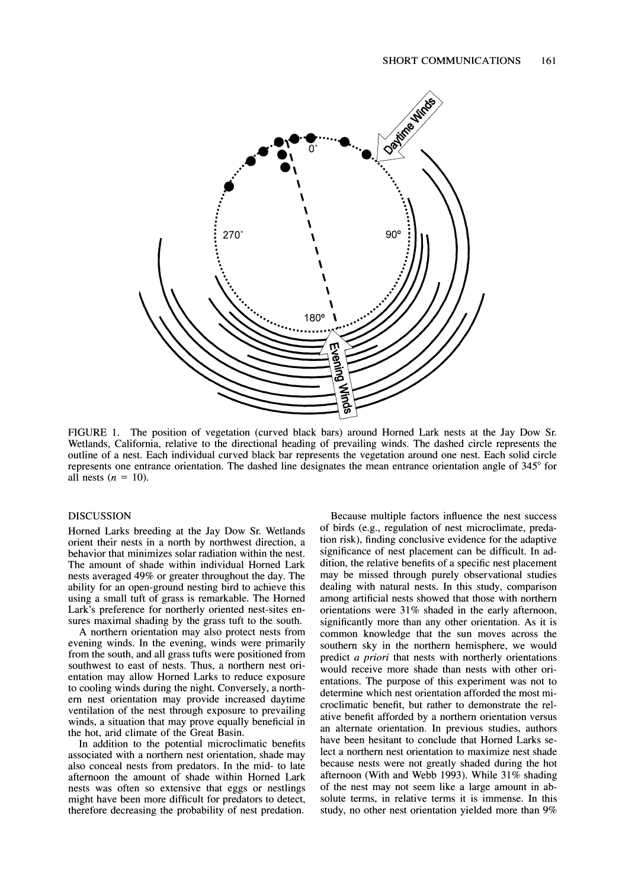

**FIGURE 1. The position of vegetation (curved black bars) around Horned Lark nests at the Jay Dow Sr. Wetlands, California, relative to the directional heading of prevailing winds. The dashed circle represents the outline of a nest. Each individual curved black bar represents the vegetation around one nest. Each solid circle represents one entrance orientation. The dashed line designates the mean entrance orientation angle of 345<sup>o</sup> for** all nests  $(n = 10)$ .

## **DISCUSSION**

**Horned Larks breeding at the Jay Dow Sr. Wetlands orient their nests in a north by northwest direction, a behavior that minimizes solar radiation within the nest. The amount of shade within individual Horned Lark nests averaged 49% or greater throughout the day. The ability for an open-ground nesting bird to achieve this using a small tuft of grass is remarkable. The Horned Lark's preference for northerly oriented nest-sites ensures maximal shading by the grass tuft to the south.** 

**A northern orientation may also protect nests from evening winds. In the evening, winds were primarily from the south, and all grass tufts were positioned from southwest to east of nests. Thus, a northern nest orientation may allow Horned Larks to reduce exposure to cooling winds during the night. Conversely, a northern nest orientation may provide increased daytime ventilation of the nest through exposure to prevailing winds, a situation that may prove equally beneficial in the hot, arid climate of the Great Basin.** 

**In addition to the potential microclimatic benefits associated with a northern nest orientation, shade may also conceal nests from predators. In the mid- to late afternoon the amount of shade within Horned Lark nests was often so extensive that eggs or nestlings might have been more difficult for predators to detect, therefore decreasing the probability of nest predation.** 

**Because multiple factors influence the nest success of birds (e.g., regulation of nest microclimate, predation risk), finding conclusive evidence for the adaptive significance of nest placement can be difficult. In addition, the relative benefits of a specific nest placement may be missed through purely observational studies dealing with natural nests. In this study, comparison among artificial nests showed that those with northern orientations were 31% shaded in the early afternoon, significantly more than any other orientation. As it is common knowledge that the sun moves across the southern sky in the northern hemisphere, we would predict a priori that nests with northerly orientations would receive more shade than nests with other orientations. The purpose of this experiment was not to determine which nest orientation afforded the most microclimatic benefit, but rather to demonstrate the relative benefit afforded by a northern orientation versus an alternate orientation. In previous studies, authors have been hesitant to conclude that Horned Larks select a northern nest orientation to maximize nest shade because nests were not greatly shaded during the hot afternoon (With and Webb 1993). While 31% shading of the nest may not seem like a large amount in absolute terms, in relative terms it is immense. In this study, no other nest orientation yielded more than 9%**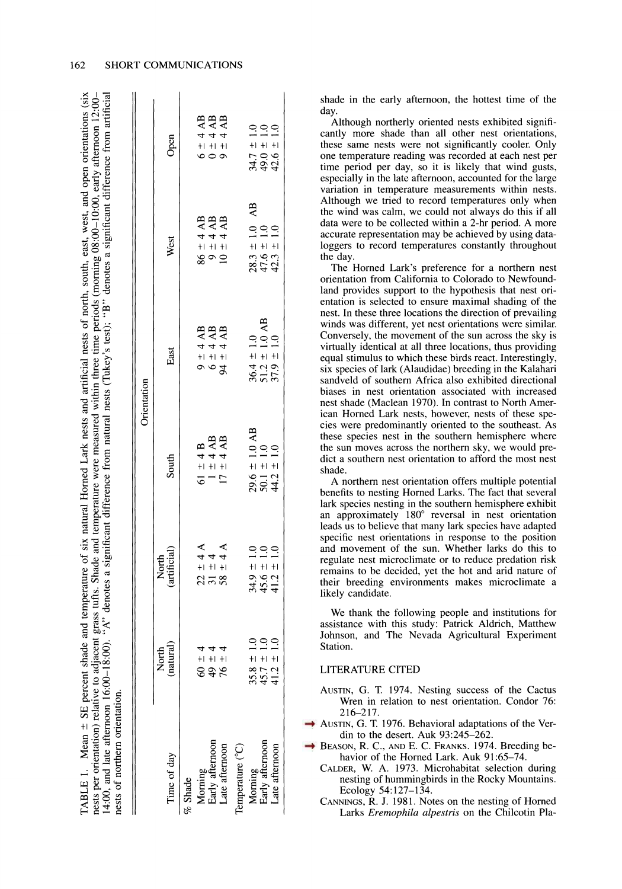| $(4:00,$ and late afternoon $16:00-18:00$ ).<br>nests per orientation) relative to adjacent<br>TABLE 1. Mean $\pm$ SE percent shade<br>nests of northern orientation. |                                  |                                          | and temperature of six natural Horned Lark nests and artificial nests of north, south, east, west, and open orientations (six<br>grass tufts. Shade and temperature were measured within three time periods (morning 08:00-10:00, early afternoon 12:00-<br>"A" denotes a significant difference from natural nests (Tukey's test); "B" denotes a significant difference from artificial |                                                       |                                                       |                                  |
|-----------------------------------------------------------------------------------------------------------------------------------------------------------------------|----------------------------------|------------------------------------------|------------------------------------------------------------------------------------------------------------------------------------------------------------------------------------------------------------------------------------------------------------------------------------------------------------------------------------------------------------------------------------------|-------------------------------------------------------|-------------------------------------------------------|----------------------------------|
|                                                                                                                                                                       |                                  |                                          |                                                                                                                                                                                                                                                                                                                                                                                          | Orientation                                           |                                                       |                                  |
| Time of day                                                                                                                                                           | (natural)<br>North               | (artificial)<br>North                    | South                                                                                                                                                                                                                                                                                                                                                                                    | East                                                  | West                                                  | Open                             |
| % Shade                                                                                                                                                               |                                  |                                          |                                                                                                                                                                                                                                                                                                                                                                                          |                                                       |                                                       |                                  |
| Morning                                                                                                                                                               | $60\pm4$                         |                                          | $61 \pm 4B$                                                                                                                                                                                                                                                                                                                                                                              | $9 \pm 4$ AB                                          | $86 \pm 4$ AB                                         | $6 \pm 4$ AB                     |
|                                                                                                                                                                       | $49 \pm 4$                       | $22 \pm 4$<br>31 $\pm 4$<br>58 $\pm 4$ A | $1 \pm 4$ AB                                                                                                                                                                                                                                                                                                                                                                             | $6 \pm 4$ AB                                          | $9 \pm 4$ AB                                          | $0 \pm 4$ AB<br>9 ± 4 AB         |
| Early afternoon<br>Late afternoon                                                                                                                                     | $76 \pm 4$                       |                                          | $17 \pm 4$ AB                                                                                                                                                                                                                                                                                                                                                                            | $94 \pm 4AB$                                          | $10 \pm 4$ AB                                         |                                  |
| Temperature (°C)                                                                                                                                                      |                                  |                                          |                                                                                                                                                                                                                                                                                                                                                                                          |                                                       |                                                       |                                  |
| Morning                                                                                                                                                               |                                  |                                          |                                                                                                                                                                                                                                                                                                                                                                                          |                                                       |                                                       |                                  |
| Early afternoon<br>Late afternoon                                                                                                                                     | $35.8 \pm 1.0$<br>45.7 $\pm$ 1.0 | $34.9 \pm 1.0$<br>$45.6 \pm 1.0$         | $29.6 \pm 1.0$ AB<br>50.1 $\pm$ 1.0<br>44.2 $\pm$ 1.0                                                                                                                                                                                                                                                                                                                                    | $36.4 \pm 1.0$<br>51.2 $\pm$ 1.0 AB<br>37.9 $\pm$ 1.0 | $28.3 \pm 1.0$ AB<br>47.6 $\pm$ 1.0<br>42.3 $\pm$ 1.0 | $34.7 \pm 1.0$<br>49.0 $\pm$ 1.0 |
|                                                                                                                                                                       | $41.2 \pm 1.0$                   | $41.2 \pm 1.0$                           |                                                                                                                                                                                                                                                                                                                                                                                          |                                                       |                                                       | $42.6 \pm 1.0$                   |

**shade in the early afternoon, the hottest time of the day.** 

**Although northerly oriented nests exhibited significantly more shade than all other nest orientations, these same nests were not significantly cooler. Only one temperature reading was recorded at each nest per time period per day, so it is likely that wind gusts, especially in the late afternoon, accounted for the large variation in temperature measurements within nests. Although we tried to record temperatures only when the wind was calm, we could not always do this if all data were to be collected within a 2-hr period. A more accurate representation may be achieved by using dataloggers to record temperatures constantly throughout the day.** 

**The Horned Lark's preference for a northern nest orientation from California to Colorado to Newfoundland provides support to the hypothesis that nest orientation is selected to ensure maximal shading of the nest. In these three locations the direction of prevailing winds was different, yet nest orientations were similar. Conversely, the movement of the sun across the sky is virtually identical at all three locations, thus providing equal stimulus to which these birds react. Interestingly, six species of lark (Alaudidae) breeding in the Kalahari sandveld of southern Africa also exhibited directional biases in nest orientation associated with increased nest shade (Maclean 1970). In contrast to North American Horned Lark nests, however, nests of these species were predominantly oriented to the southeast. As these species nest in the southern hemisphere where the sun moves across the northern sky, we would predict a southern nest orientation to afford the most nest shade.** 

**A northern nest orientation offers multiple potential benefits to nesting Horned Larks. The fact that several lark species nesting in the southern hemisphere exhibit**  an approximately 180° reversal in nest orientation **leads us to believe that many lark species have adapted specific nest orientations in response to the position and movement of the sun. Whether larks do this to regulate nest microclimate or to reduce predation risk remains to be decided, yet the hot and arid nature of their breeding environments makes microclimate a likely candidate.** 

**We thank the following people and institutions for assistance with this study: Patrick Aldrich, Matthew Johnson, and The Nevada Agricultural Experiment Station.** 

# **LITERATURE CITED**

- **AUSTIN, G. T 1974. Nesting success of the Cactus Wren in relation to nest orientation. Condor 76: 216-217.**
- **AUSTIN, G. T. 1976. Behavioral adaptations of the Verdin to the desert. Auk 93:245-262.**
- **BEASON, R. C., AND E. C. FRANKS. 1974. Breeding behavior of the Horned Lark. Auk 91:65-74.** 
	- **CALDER, W. A. 1973. Microhabitat selection during nesting of hummingbirds in the Rocky Mountains. Ecology 54:127-134.**
	- **CANNINGS, R. J. 1981. Notes on the nesting of Horned Larks Eremophila alpestris on the Chilcotin Pla-**